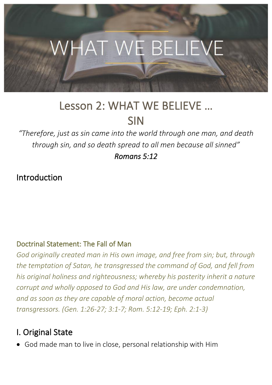

# Lesson 2: WHAT WE BELIEVE … SIN

*"Therefore, just as sin came into the world through one man, and death through sin, and so death spread to all men because all sinned"*

*Romans 5:12* 

Introduction

#### Doctrinal Statement: The Fall of Man

*God originally created man in His own image, and free from sin; but, through the temptation of Satan, he transgressed the command of God, and fell from his original holiness and righteousness; whereby his posterity inherit a nature corrupt and wholly opposed to God and His law, are under condemnation, and as soon as they are capable of moral action, become actual transgressors. (Gen. 1:26-27; 3:1-7; Rom. 5:12-19; Eph. 2:1-3)* 

## I. Original State

• God made man to live in close, personal relationship with Him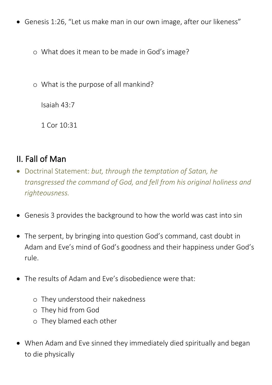• Genesis 1:26, "Let us make man in our own image, after our likeness"

o What does it mean to be made in God's image?

o What is the purpose of all mankind?

Isaiah 43:7

1 Cor 10:31

# II. Fall of Man

- Doctrinal Statement: *but, through the temptation of Satan, he transgressed the command of God, and fell from his original holiness and righteousness.*
- Genesis 3 provides the background to how the world was cast into sin
- The serpent, by bringing into question God's command, cast doubt in Adam and Eve's mind of God's goodness and their happiness under God's rule.
- The results of Adam and Eve's disobedience were that:
	- o They understood their nakedness
	- o They hid from God
	- o They blamed each other
- When Adam and Eve sinned they immediately died spiritually and began to die physically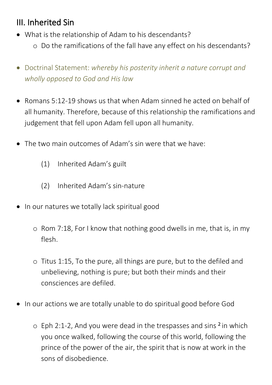# III. Inherited Sin

- What is the relationship of Adam to his descendants? o Do the ramifications of the fall have any effect on his descendants?
- Doctrinal Statement: *whereby his posterity inherit a nature corrupt and wholly opposed to God and His law*
- Romans 5:12-19 shows us that when Adam sinned he acted on behalf of all humanity. Therefore, because of this relationship the ramifications and judgement that fell upon Adam fell upon all humanity.
- The two main outcomes of Adam's sin were that we have:
	- (1) Inherited Adam's guilt
	- (2) Inherited Adam's sin-nature
- In our natures we totally lack spiritual good
	- o Rom 7:18, For I know that nothing good dwells in me, that is, in my flesh.
	- o Titus 1:15, To the pure, all things are pure, but to the defiled and unbelieving, nothing is pure; but both their minds and their consciences are defiled.
- In our actions we are totally unable to do spiritual good before God
	- $\circ$  Eph 2:1-2, And you were dead in the trespasses and sins <sup>2</sup> in which you once walked, following the course of this world, following the prince of the power of the air, the spirit that is now at work in the sons of disobedience.